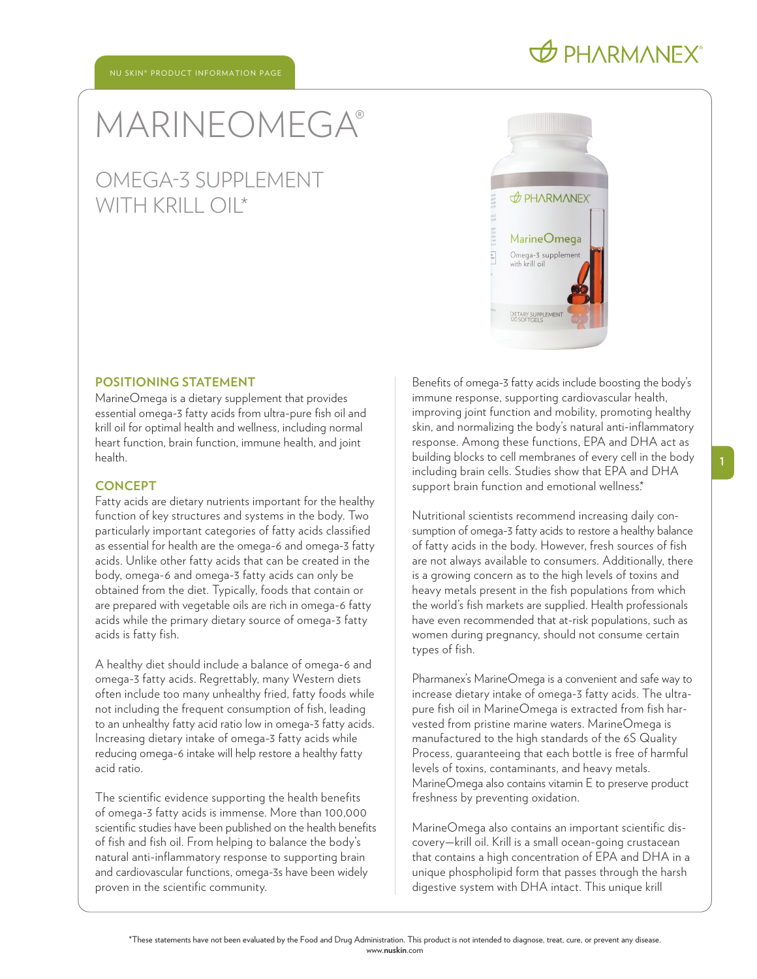### $\bigoplus$  PHARMANEX®

# **MARINEOMEGA®**

### OMEGA-3 SUPPLEMENT WITH KRILL OIL\*



#### **POSITIONING STATEMENT**

MarineOmega is a dietary supplement that provides essential omega-3 fatty acids from ultra-pure fish oil and krill oil for optimal health and wellness, including normal heart function, brain function, immune health, and joint health.

#### **CONCEPT**

Fatty acids are dietary nutrients important for the healthy function of key structures and systems in the body. Two particularly important categories of fatty acids classified as essential for health are the omega-6 and omega-3 fatty acids. Unlike other fatty acids that can be created in the body, omega-6 and omega-3 fatty acids can only be obtained from the diet. Typically, foods that contain or are prepared with vegetable oils are rich in omega-6 fatty acids while the primary dietary source of omega-3 fatty acids is fatty fish.

A healthy diet should include a balance of omega-6 and omega-3 fatty acids. Regrettably, many Western diets often include too many unhealthy fried, fatty foods while not including the frequent consumption of fish, leading to an unhealthy fatty acid ratio low in omega-3 fatty acids. Increasing dietary intake of omega-3 fatty acids while reducing omega-6 intake will help restore a healthy fatty acid ratio.

The scientific evidence supporting the health benefits of omega-3 fatty acids is immense. More than 100,000 scientific studies have been published on the health benefits of fish and fish oil. From helping to balance the body's natural anti-inflammatory response to supporting brain and cardiovascular functions, omega-3s have been widely proven in the scientific community.

Benefits of omega-3 fatty acids include boosting the body's immune response, supporting cardiovascular health, improving joint function and mobility, promoting healthy skin, and normalizing the body's natural anti-inflammatory response. Among these functions, EPA and DHA act as building blocks to cell membranes of every cell in the body including brain cells. Studies show that EPA and DHA support brain function and emotional wellness.\*

Nutritional scientists recommend increasing daily consumption of omega-3 fatty acids to restore a healthy balance of fatty acids in the body. However, fresh sources of fish are not always available to consumers. Additionally, there is a growing concern as to the high levels of toxins and heavy metals present in the fish populations from which the world's fish markets are supplied. Health professionals have even recommended that at-risk populations, such as women during pregnancy, should not consume certain types of fish.

Pharmanex's MarineOmega is a convenient and safe way to increase dietary intake of omega-3 fatty acids. The ultrapure fish oil in MarineOmega is extracted from fish harvested from pristine marine waters. MarineOmega is manufactured to the high standards of the 6S Quality Process, guaranteeing that each bottle is free of harmful levels of toxins, contaminants, and heavy metals. MarineOmega also contains vitamin E to preserve product freshness by preventing oxidation.

MarineOmega also contains an important scientific discovery—krill oil. Krill is a small ocean-going crustacean that contains a high concentration of EPA and DHA in a unique phospholipid form that passes through the harsh digestive system with DHA intact. This unique krill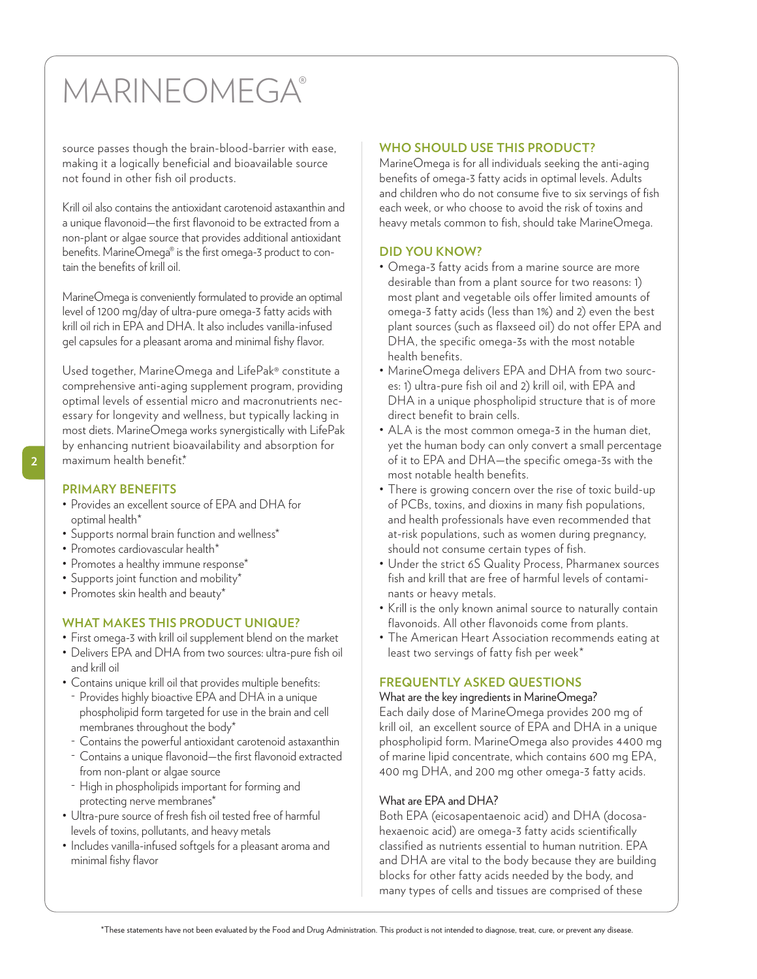## **MARINEOMEGA®**

source passes though the brain-blood-barrier with ease, making it a logically beneficial and bioavailable source not found in other fish oil products.

Krill oil also contains the antioxidant carotenoid astaxanthin and a unique flavonoid—the first flavonoid to be extracted from a non-plant or algae source that provides additional antioxidant benefits. MarineOmega® is the first omega-3 product to contain the benefits of krill oil.

MarineOmega is conveniently formulated to provide an optimal level of 1200 mg/day of ultra-pure omega-3 fatty acids with krill oil rich in EPA and DHA. It also includes vanilla-infused gel capsules for a pleasant aroma and minimal fishy flavor.

Used together, MarineOmega and LifePak® constitute a comprehensive anti-aging supplement program, providing optimal levels of essential micro and macronutrients necessary for longevity and wellness, but typically lacking in most diets. MarineOmega works synergistically with LifePak by enhancing nutrient bioavailability and absorption for maximum health benefit.\*

#### **PRIMARY BENEFITS**

- Provides an excellent source of EPA and DHA for optimal health\*
- Supports normal brain function and wellness\*
- Promotes cardiovascular health\*
- Promotes a healthy immune response\*
- Supports joint function and mobility\*
- Promotes skin health and beauty\*

#### **WHAT MAKES THIS PRODUCT UNIQUE?**

- First omega-3 with krill oil supplement blend on the market
- Delivers EPA and DHA from two sources: ultra-pure fish oil and krill oil
- Contains unique krill oil that provides multiple benefits:
	- Provides highly bioactive EPA and DHA in a unique phospholipid form targeted for use in the brain and cell membranes throughout the body\*
	- Contains the powerful antioxidant carotenoid astaxanthin
	- Contains a unique flavonoid—the first flavonoid extracted from non-plant or algae source
	- High in phospholipids important for forming and protecting nerve membranes\*
- Ultra-pure source of fresh fish oil tested free of harmful levels of toxins, pollutants, and heavy metals
- Includes vanilla-infused softgels for a pleasant aroma and minimal fishy flavor

#### **WHO SHOULD USE THIS PRODUCT?**

MarineOmega is for all individuals seeking the anti-aging benefits of omega-3 fatty acids in optimal levels. Adults and children who do not consume five to six servings of fish each week, or who choose to avoid the risk of toxins and heavy metals common to fish, should take MarineOmega.

#### **DID YOU KNOW?**

- Omega-3 fatty acids from a marine source are more desirable than from a plant source for two reasons: 1) most plant and vegetable oils offer limited amounts of omega-3 fatty acids (less than 1%) and 2) even the best plant sources (such as flaxseed oil) do not offer EPA and DHA, the specific omega-3s with the most notable health benefits.
- MarineOmega delivers EPA and DHA from two sources: 1) ultra-pure fish oil and 2) krill oil, with EPA and DHA in a unique phospholipid structure that is of more direct benefit to brain cells.
- ALA is the most common omega-3 in the human diet, yet the human body can only convert a small percentage of it to EPA and DHA—the specific omega-3s with the most notable health benefits.
- There is growing concern over the rise of toxic build-up of PCBs, toxins, and dioxins in many fish populations, and health professionals have even recommended that at-risk populations, such as women during pregnancy, should not consume certain types of fish.
- Under the strict 6S Quality Process, Pharmanex sources fish and krill that are free of harmful levels of contaminants or heavy metals.
- Krill is the only known animal source to naturally contain flavonoids. All other flavonoids come from plants.
- The American Heart Association recommends eating at least two servings of fatty fish per week\*

#### **FREQUENTLY ASKED QUESTIONS**

#### What are the key ingredients in MarineOmega?

Each daily dose of MarineOmega provides 200 mg of krill oil, an excellent source of EPA and DHA in a unique phospholipid form. MarineOmega also provides 4400 mg of marine lipid concentrate, which contains 600 mg EPA, 400 mg DHA, and 200 mg other omega-3 fatty acids.

#### What are EPA and DHA?

Both EPA (eicosapentaenoic acid) and DHA (docosahexaenoic acid) are omega-3 fatty acids scientifically classified as nutrients essential to human nutrition. EPA and DHA are vital to the body because they are building blocks for other fatty acids needed by the body, and many types of cells and tissues are comprised of these